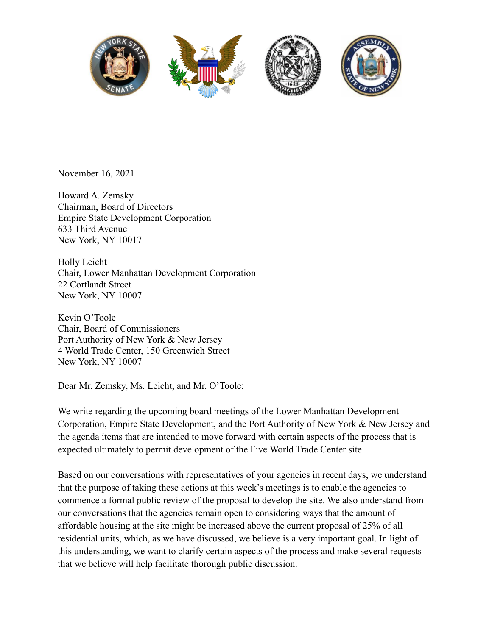

November 16, 2021

Howard A. Zemsky Chairman, Board of Directors Empire State Development Corporation 633 Third Avenue New York, NY 10017

Holly Leicht Chair, Lower Manhattan Development Corporation 22 Cortlandt Street New York, NY 10007

Kevin O'Toole Chair, Board of Commissioners Port Authority of New York & New Jersey 4 World Trade Center, 150 Greenwich Street New York, NY 10007

Dear Mr. Zemsky, Ms. Leicht, and Mr. O'Toole:

We write regarding the upcoming board meetings of the Lower Manhattan Development Corporation, Empire State Development, and the Port Authority of New York & New Jersey and the agenda items that are intended to move forward with certain aspects of the process that is expected ultimately to permit development of the Five World Trade Center site.

Based on our conversations with representatives of your agencies in recent days, we understand that the purpose of taking these actions at this week's meetings is to enable the agencies to commence a formal public review of the proposal to develop the site. We also understand from our conversations that the agencies remain open to considering ways that the amount of affordable housing at the site might be increased above the current proposal of 25% of all residential units, which, as we have discussed, we believe is a very important goal. In light of this understanding, we want to clarify certain aspects of the process and make several requests that we believe will help facilitate thorough public discussion.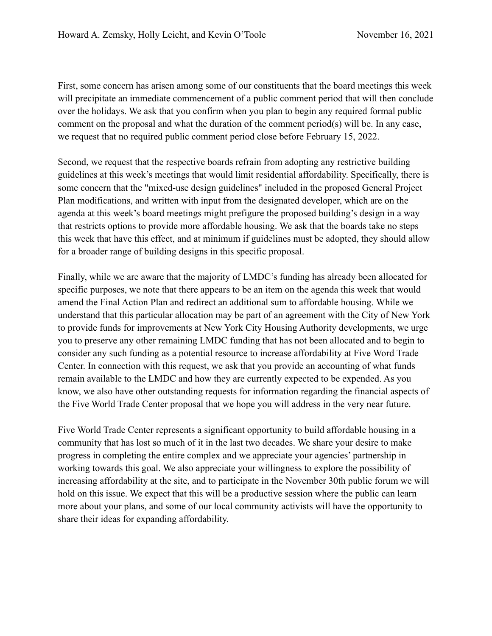First, some concern has arisen among some of our constituents that the board meetings this week will precipitate an immediate commencement of a public comment period that will then conclude over the holidays. We ask that you confirm when you plan to begin any required formal public comment on the proposal and what the duration of the comment period(s) will be. In any case, we request that no required public comment period close before February 15, 2022.

Second, we request that the respective boards refrain from adopting any restrictive building guidelines at this week's meetings that would limit residential affordability. Specifically, there is some concern that the "mixed-use design guidelines" included in the proposed General Project Plan modifications, and written with input from the designated developer, which are on the agenda at this week's board meetings might prefigure the proposed building's design in a way that restricts options to provide more affordable housing. We ask that the boards take no steps this week that have this effect, and at minimum if guidelines must be adopted, they should allow for a broader range of building designs in this specific proposal.

Finally, while we are aware that the majority of LMDC's funding has already been allocated for specific purposes, we note that there appears to be an item on the agenda this week that would amend the Final Action Plan and redirect an additional sum to affordable housing. While we understand that this particular allocation may be part of an agreement with the City of New York to provide funds for improvements at New York City Housing Authority developments, we urge you to preserve any other remaining LMDC funding that has not been allocated and to begin to consider any such funding as a potential resource to increase affordability at Five Word Trade Center. In connection with this request, we ask that you provide an accounting of what funds remain available to the LMDC and how they are currently expected to be expended. As you know, we also have other outstanding requests for information regarding the financial aspects of the Five World Trade Center proposal that we hope you will address in the very near future.

Five World Trade Center represents a significant opportunity to build affordable housing in a community that has lost so much of it in the last two decades. We share your desire to make progress in completing the entire complex and we appreciate your agencies' partnership in working towards this goal. We also appreciate your willingness to explore the possibility of increasing affordability at the site, and to participate in the November 30th public forum we will hold on this issue. We expect that this will be a productive session where the public can learn more about your plans, and some of our local community activists will have the opportunity to share their ideas for expanding affordability.